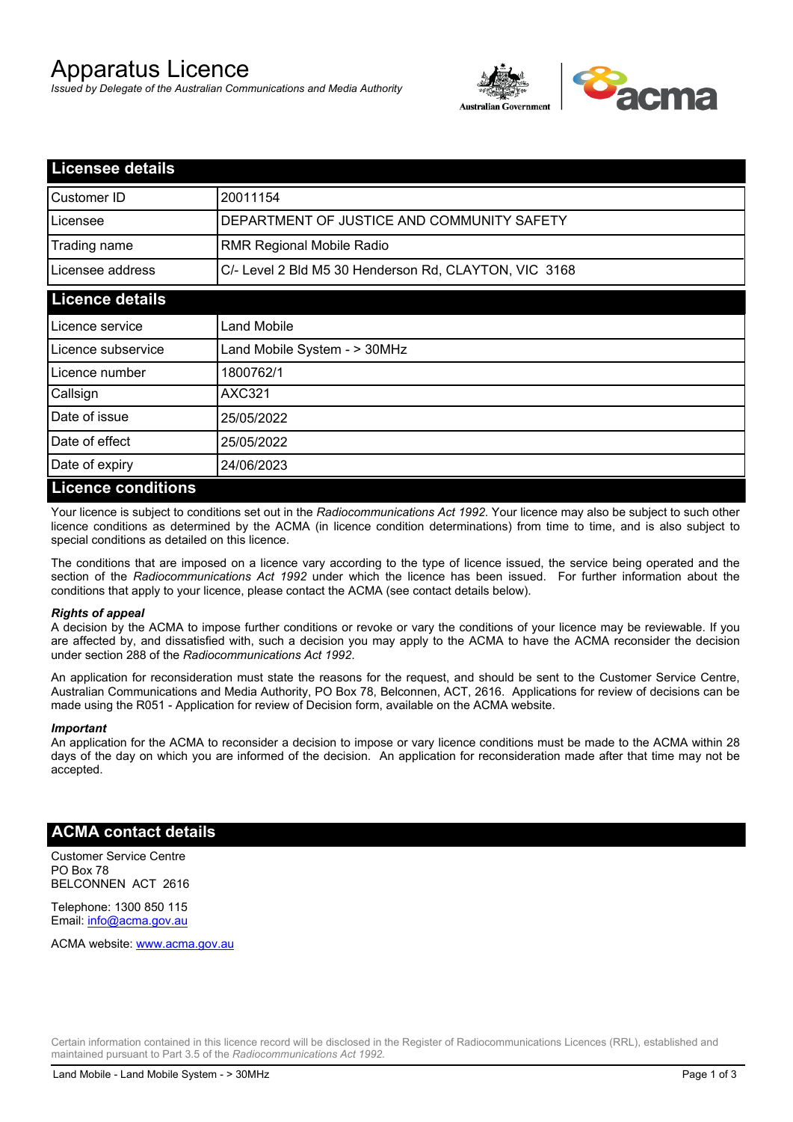# Apparatus Licence

*Issued by Delegate of the Australian Communications and Media Authority*



| <b>Licensee details</b> |                                                       |
|-------------------------|-------------------------------------------------------|
| Customer ID             | 20011154                                              |
| Licensee                | DEPARTMENT OF JUSTICE AND COMMUNITY SAFETY            |
| Trading name            | <b>RMR Regional Mobile Radio</b>                      |
| Licensee address        | C/- Level 2 Bld M5 30 Henderson Rd, CLAYTON, VIC 3168 |
| <b>Licence details</b>  |                                                       |
| l Licence service       | Land Mobile                                           |
| Licence subservice      | Land Mobile System - > 30MHz                          |
| Licence number          | 1800762/1                                             |
| Callsign                | <b>AXC321</b>                                         |
| Date of issue           | 25/05/2022                                            |
| Date of effect          | 25/05/2022                                            |
| Date of expiry          | 24/06/2023                                            |
| Licance conditions      |                                                       |

### **Licence conditions**

Your licence is subject to conditions set out in the *Radiocommunications Act 1992*. Your licence may also be subject to such other licence conditions as determined by the ACMA (in licence condition determinations) from time to time, and is also subject to special conditions as detailed on this licence.

The conditions that are imposed on a licence vary according to the type of licence issued, the service being operated and the section of the *Radiocommunications Act 1992* under which the licence has been issued. For further information about the conditions that apply to your licence, please contact the ACMA (see contact details below).

### *Rights of appeal*

A decision by the ACMA to impose further conditions or revoke or vary the conditions of your licence may be reviewable. If you are affected by, and dissatisfied with, such a decision you may apply to the ACMA to have the ACMA reconsider the decision under section 288 of the *Radiocommunications Act 1992*.

An application for reconsideration must state the reasons for the request, and should be sent to the Customer Service Centre, Australian Communications and Media Authority, PO Box 78, Belconnen, ACT, 2616. Applications for review of decisions can be made using the R051 - Application for review of Decision form, available on the ACMA website.

#### *Important*

An application for the ACMA to reconsider a decision to impose or vary licence conditions must be made to the ACMA within 28 days of the day on which you are informed of the decision. An application for reconsideration made after that time may not be accepted.

### **ACMA contact details**

Customer Service Centre PO Box 78 BELCONNEN ACT 2616

Telephone: 1300 850 115 Email: info@acma.gov.au

ACMA website: www.acma.gov.au

Certain information contained in this licence record will be disclosed in the Register of Radiocommunications Licences (RRL), established and maintained pursuant to Part 3.5 of the *Radiocommunications Act 1992.*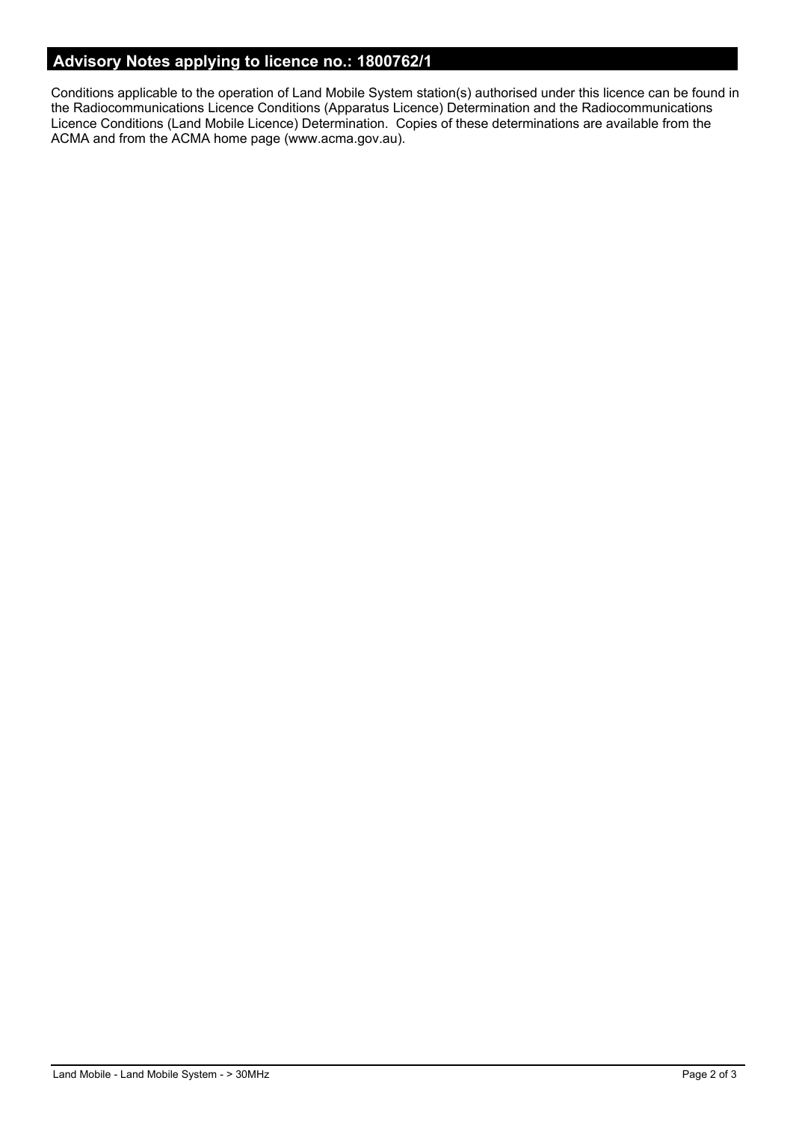## **Advisory Notes applying to licence no.: 1800762/1**

Conditions applicable to the operation of Land Mobile System station(s) authorised under this licence can be found in the Radiocommunications Licence Conditions (Apparatus Licence) Determination and the Radiocommunications Licence Conditions (Land Mobile Licence) Determination. Copies of these determinations are available from the ACMA and from the ACMA home page (www.acma.gov.au).